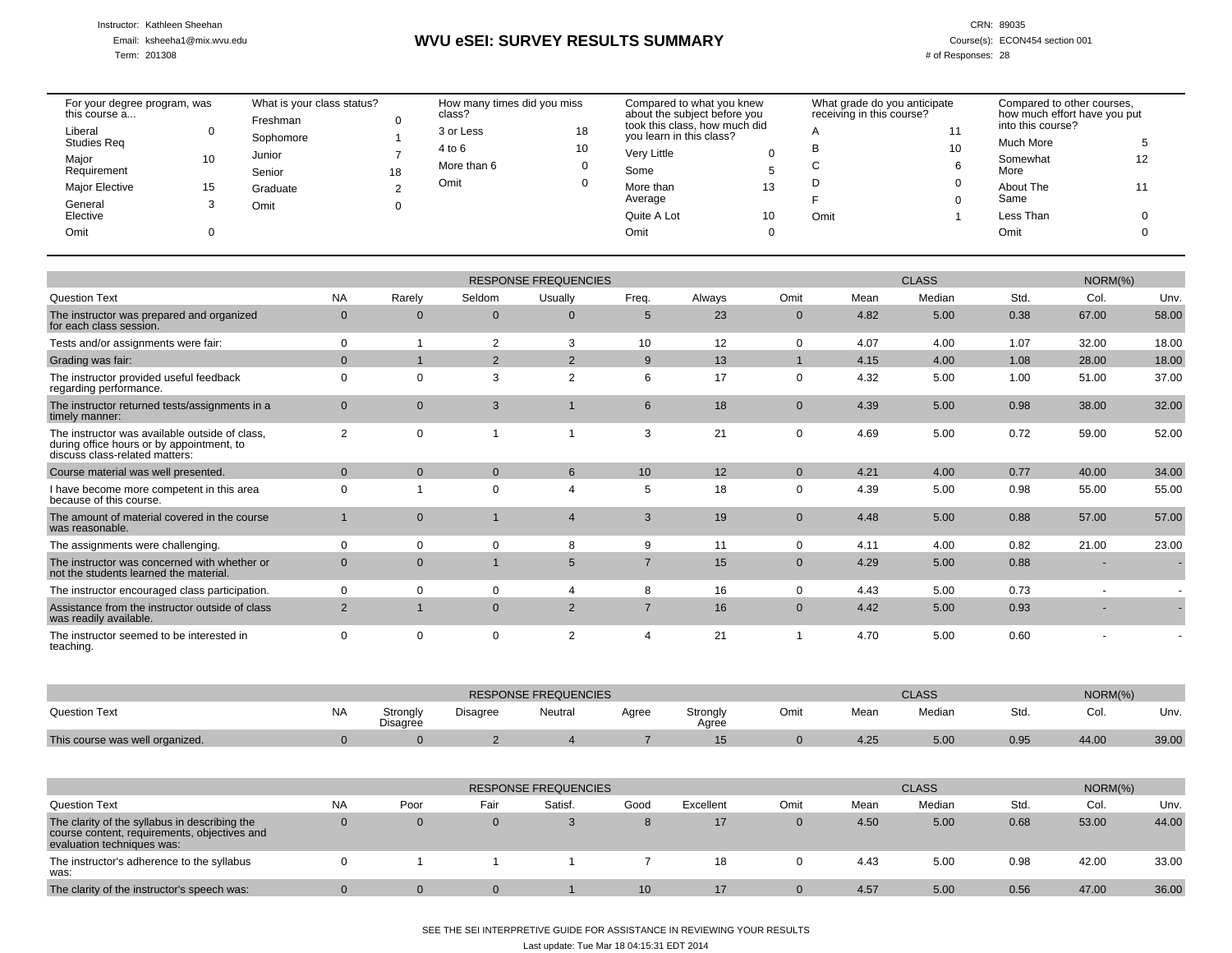Instructor: Kathleen Sheehan

Email: ksheeha1@mix.wvu.edu

Term: 201308

# **WVU eSEI: SURVEY RESULTS SUMMARY**

CRN: 89035

Course(s): ECON454 section 001

# of Responses: 28

| For your degree program, was<br>this course a |    | What is your class status?<br>Freshman |    | How many times did you miss<br>class? |    | Compared to what you knew<br>about the subject before you |    | What grade do you anticipate<br>receiving in this course? |     | Compared to other courses,<br>how much effort have you put |    |
|-----------------------------------------------|----|----------------------------------------|----|---------------------------------------|----|-----------------------------------------------------------|----|-----------------------------------------------------------|-----|------------------------------------------------------------|----|
| Liberal<br><b>Studies Reg</b>                 |    | Sophomore                              |    | 3 or Less                             | 18 | took this class, how much did<br>you learn in this class? |    |                                                           | 4.4 | into this course?<br>Much More                             |    |
| Major                                         | 10 | Junior                                 |    | 4 to 6                                | 10 | Very Little                                               |    | в                                                         | 10  | Somewhat                                                   | 12 |
| Requirement                                   |    | Senior                                 | 18 | More than 6                           |    | Some                                                      |    |                                                           |     | More                                                       |    |
| <b>Major Elective</b>                         | 15 | Graduate                               |    | Omit                                  |    | More than<br>Average                                      | 13 |                                                           |     | About The<br>Same                                          |    |
| General<br>Elective                           |    | Omit                                   |    |                                       |    | Quite A Lot                                               | 10 | Omit                                                      |     | Less Than                                                  |    |
| Omit                                          |    |                                        |    |                                       |    | Omit                                                      |    |                                                           |     | Omit                                                       |    |
|                                               |    |                                        |    |                                       |    |                                                           |    |                                                           |     |                                                            |    |

|                                                                                                                               |                |              |              | <b>RESPONSE FREQUENCIES</b> |                  |        | <b>CLASS</b>   |      |        |      | $NORM(\% )$ |       |  |
|-------------------------------------------------------------------------------------------------------------------------------|----------------|--------------|--------------|-----------------------------|------------------|--------|----------------|------|--------|------|-------------|-------|--|
| <b>Question Text</b>                                                                                                          | <b>NA</b>      | Rarely       | Seldom       | Usually                     | Freq.            | Always | Omit           | Mean | Median | Std. | Col         | Unv.  |  |
| The instructor was prepared and organized<br>for each class session.                                                          | $\mathbf{0}$   | $\mathbf 0$  | $\mathbf{0}$ | $\mathbf{0}$                | 5                | 23     | $\overline{0}$ | 4.82 | 5.00   | 0.38 | 67.00       | 58.00 |  |
| Tests and/or assignments were fair:                                                                                           | $\Omega$       |              | 2            | 3                           | 10               | 12     | $\mathbf 0$    | 4.07 | 4.00   | 1.07 | 32.00       | 18.00 |  |
| Grading was fair:                                                                                                             | $\overline{0}$ |              | 2            | $\overline{2}$              | 9                | 13     |                | 4.15 | 4.00   | 1.08 | 28.00       | 18.00 |  |
| The instructor provided useful feedback<br>regarding performance.                                                             | $\Omega$       | 0            | 3            | 2                           | 6                | 17     | $\Omega$       | 4.32 | 5.00   | 1.00 | 51.00       | 37.00 |  |
| The instructor returned tests/assignments in a<br>timely manner:                                                              | $\mathbf{0}$   | $\mathbf{0}$ | 3            |                             | $6 \overline{6}$ | 18     | $\mathbf{0}$   | 4.39 | 5.00   | 0.98 | 38.00       | 32.00 |  |
| The instructor was available outside of class.<br>during office hours or by appointment, to<br>discuss class-related matters: | $\overline{2}$ | 0            |              |                             | 3                | 21     | $\mathbf 0$    | 4.69 | 5.00   | 0.72 | 59.00       | 52.00 |  |
| Course material was well presented.                                                                                           | $\mathbf{0}$   | $\mathbf{0}$ | $\mathbf{0}$ | $6\phantom{1}$              | 10 <sup>1</sup>  | 12     | $\overline{0}$ | 4.21 | 4.00   | 0.77 | 40.00       | 34.00 |  |
| I have become more competent in this area<br>because of this course.                                                          | $\Omega$       |              | $\Omega$     | $\overline{4}$              | 5                | 18     | $\Omega$       | 4.39 | 5.00   | 0.98 | 55.00       | 55.00 |  |
| The amount of material covered in the course<br>was reasonable.                                                               |                | $\mathbf{0}$ |              | $\overline{4}$              | $\overline{3}$   | 19     | $\mathbf{0}$   | 4.48 | 5.00   | 0.88 | 57.00       | 57.00 |  |
| The assignments were challenging.                                                                                             | $\Omega$       | $\mathbf 0$  | $\Omega$     | 8                           | 9                | 11     | $\mathbf 0$    | 4.11 | 4.00   | 0.82 | 21.00       | 23.00 |  |
| The instructor was concerned with whether or<br>not the students learned the material.                                        | $\mathbf{0}$   | $\mathbf{0}$ |              | 5                           | $\overline{7}$   | 15     | $\overline{0}$ | 4.29 | 5.00   | 0.88 |             |       |  |
| The instructor encouraged class participation.                                                                                | $\Omega$       | 0            | $\Omega$     | $\overline{4}$              | 8                | 16     | $\mathbf 0$    | 4.43 | 5.00   | 0.73 |             |       |  |
| Assistance from the instructor outside of class<br>was readily available.                                                     | 2              |              | $\Omega$     | 2                           | $\overline{7}$   | 16     | $\Omega$       | 4.42 | 5.00   | 0.93 |             |       |  |
| The instructor seemed to be interested in<br>teaching.                                                                        | $\Omega$       | 0            | $\Omega$     | 2                           | $\overline{4}$   | 21     |                | 4.70 | 5.00   | 0.60 |             |       |  |

|                                 |    |                      | NORM(%)         |         |       |                   |      |      |        |      |       |       |
|---------------------------------|----|----------------------|-----------------|---------|-------|-------------------|------|------|--------|------|-------|-------|
| <b>Question Text</b>            | NA | Strongly<br>Disagree | <b>Disagree</b> | Neutral | Agree | Strongly<br>Agree | Omit | Mear | Median | Std  | COI.  | Unv.  |
| This course was well organized. |    |                      |                 |         |       |                   |      | 4.25 | 5.00   | 0.95 | 44.00 | 39.00 |

|                                                                                                                             |           |          |          | <b>RESPONSE FREQUENCIES</b> |              |                 | <b>CLASS</b> |      |        |      | $NORM(\% )$ |       |
|-----------------------------------------------------------------------------------------------------------------------------|-----------|----------|----------|-----------------------------|--------------|-----------------|--------------|------|--------|------|-------------|-------|
| <b>Question Text</b>                                                                                                        | <b>NA</b> | Poor     | Fair     | Satisf.                     | Good         | Excellent       | Omit         | Mean | Median | Std. | Col         | Unv.  |
| The clarity of the syllabus in describing the<br>course content, requirements, objectives and<br>evaluation techniques was: |           | $\Omega$ | $\Omega$ | 3                           |              | 17 <sup>°</sup> |              | 4.50 | 5.00   | 0.68 | 53.00       | 44.00 |
| The instructor's adherence to the syllabus<br>was:                                                                          |           |          |          |                             |              | 18              |              | 4.43 | 5.00   | 0.98 | 42.00       | 33.00 |
| The clarity of the instructor's speech was:                                                                                 |           | $\Omega$ | $\Omega$ |                             | $10^{\circ}$ | 17              |              | 4.57 | 5.00   | 0.56 | 47.00       | 36.00 |

SEE THE SEI INTERPRETIVE GUIDE FOR ASSISTANCE IN REVIEWING YOUR RESULTSLast update: Tue Mar 18 04:15:31 EDT 2014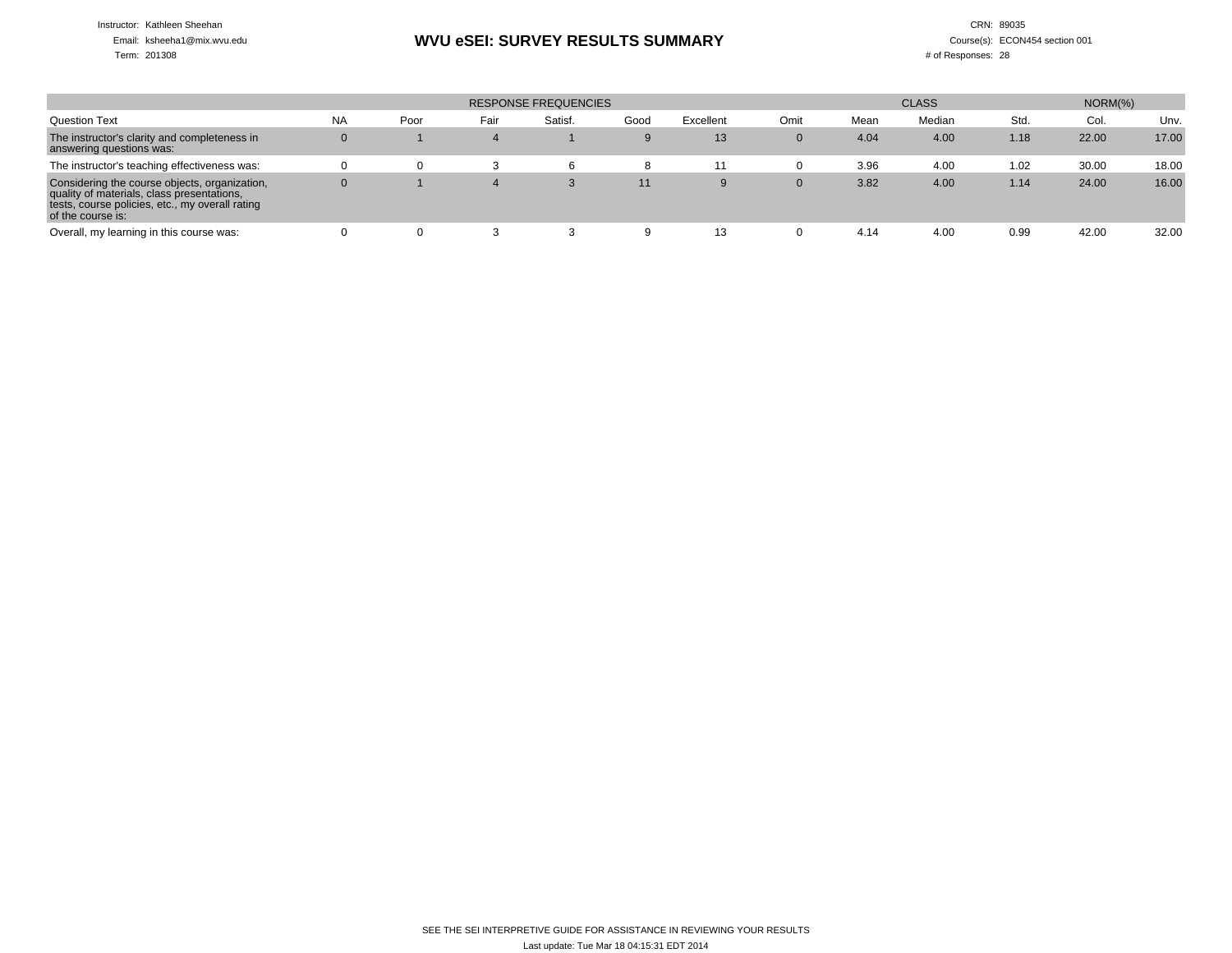Instructor: Kathleen Sheehan

## Email: ksheeha1@mix.wvu.edu

Term: 201308

### **WVU eSEI: SURVEY RESULTS SUMMARY**

#### CRN: 89035 Course(s): ECON454 section 001# of Responses: 28

|                                                                                                                                                                     |           |      |      | <b>RESPONSE FREQUENCIES</b> |      | $NORM(\% )$ |             |      |        |      |       |       |
|---------------------------------------------------------------------------------------------------------------------------------------------------------------------|-----------|------|------|-----------------------------|------|-------------|-------------|------|--------|------|-------|-------|
| <b>Question Text</b>                                                                                                                                                | <b>NA</b> | Poor | Fair | Satisf.                     | Good | Excellent   | Omit        | Mean | Median | Std. | Col.  | Unv.  |
| The instructor's clarity and completeness in<br>answering questions was:                                                                                            | 0         |      |      |                             | 9    | 13          | $\mathbf 0$ | 4.04 | 4.00   | 1.18 | 22.00 | 17.00 |
| The instructor's teaching effectiveness was:                                                                                                                        |           |      |      |                             |      | 11          | 0           | 3.96 | 4.00   | 1.02 | 30.00 | 18.00 |
| Considering the course objects, organization,<br>quality of materials, class presentations,<br>tests, course policies, etc., my overall rating<br>of the course is: |           |      |      | 3                           | 11   | 9           | 0           | 3.82 | 4.00   | 1.14 | 24.00 | 16.00 |
| Overall, my learning in this course was:                                                                                                                            |           |      |      |                             |      | 13          | 0           | 4.14 | 4.00   | 0.99 | 42.00 | 32.00 |